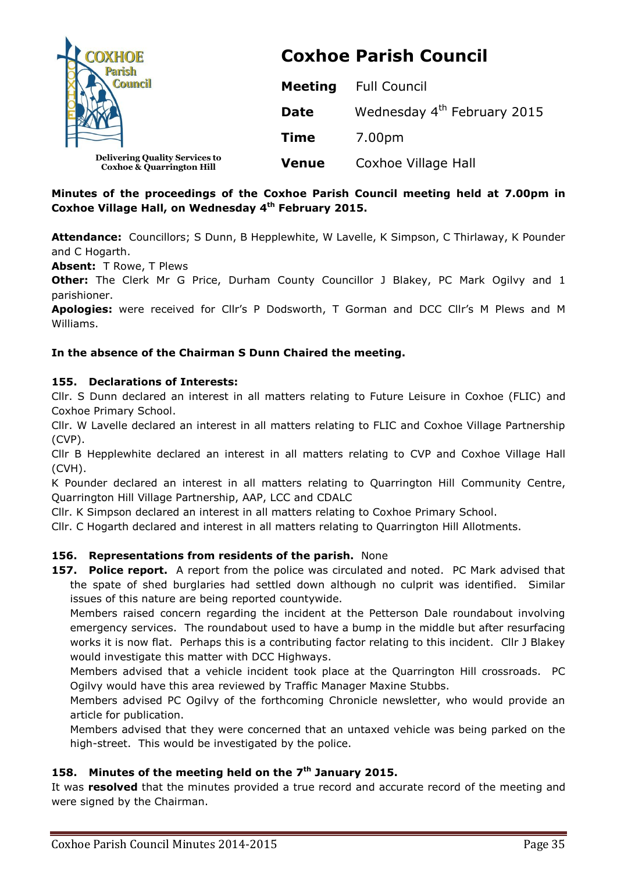

# **Coxhoe Parish Council**

|              | <b>Meeting</b> Full Council             |
|--------------|-----------------------------------------|
| <b>Date</b>  | Wednesday 4 <sup>th</sup> February 2015 |
| <b>Time</b>  | 7.00pm                                  |
| <b>Venue</b> | Coxhoe Village Hall                     |

# **Minutes of the proceedings of the Coxhoe Parish Council meeting held at 7.00pm in Coxhoe Village Hall, on Wednesday 4 th February 2015.**

**Attendance:** Councillors; S Dunn, B Hepplewhite, W Lavelle, K Simpson, C Thirlaway, K Pounder and C Hogarth.

**Absent:** T Rowe, T Plews

**Other:** The Clerk Mr G Price, Durham County Councillor J Blakey, PC Mark Ogilvy and 1 parishioner.

**Apologies:** were received for Cllr's P Dodsworth, T Gorman and DCC Cllr's M Plews and M Williams.

## **In the absence of the Chairman S Dunn Chaired the meeting.**

## **155. Declarations of Interests:**

**Coxhoe & Quarrington Hill**

Cllr. S Dunn declared an interest in all matters relating to Future Leisure in Coxhoe (FLIC) and Coxhoe Primary School.

Cllr. W Lavelle declared an interest in all matters relating to FLIC and Coxhoe Village Partnership (CVP).

Cllr B Hepplewhite declared an interest in all matters relating to CVP and Coxhoe Village Hall (CVH).

K Pounder declared an interest in all matters relating to Quarrington Hill Community Centre, Quarrington Hill Village Partnership, AAP, LCC and CDALC

Cllr. K Simpson declared an interest in all matters relating to Coxhoe Primary School.

Cllr. C Hogarth declared and interest in all matters relating to Quarrington Hill Allotments.

# **156. Representations from residents of the parish.** None

**157. Police report.** A report from the police was circulated and noted. PC Mark advised that the spate of shed burglaries had settled down although no culprit was identified. Similar issues of this nature are being reported countywide.

Members raised concern regarding the incident at the Petterson Dale roundabout involving emergency services. The roundabout used to have a bump in the middle but after resurfacing works it is now flat. Perhaps this is a contributing factor relating to this incident. Cllr J Blakey would investigate this matter with DCC Highways.

Members advised that a vehicle incident took place at the Quarrington Hill crossroads. PC Ogilvy would have this area reviewed by Traffic Manager Maxine Stubbs.

Members advised PC Ogilvy of the forthcoming Chronicle newsletter, who would provide an article for publication.

Members advised that they were concerned that an untaxed vehicle was being parked on the high-street. This would be investigated by the police.

# **158. Minutes of the meeting held on the 7 th January 2015.**

It was **resolved** that the minutes provided a true record and accurate record of the meeting and were signed by the Chairman.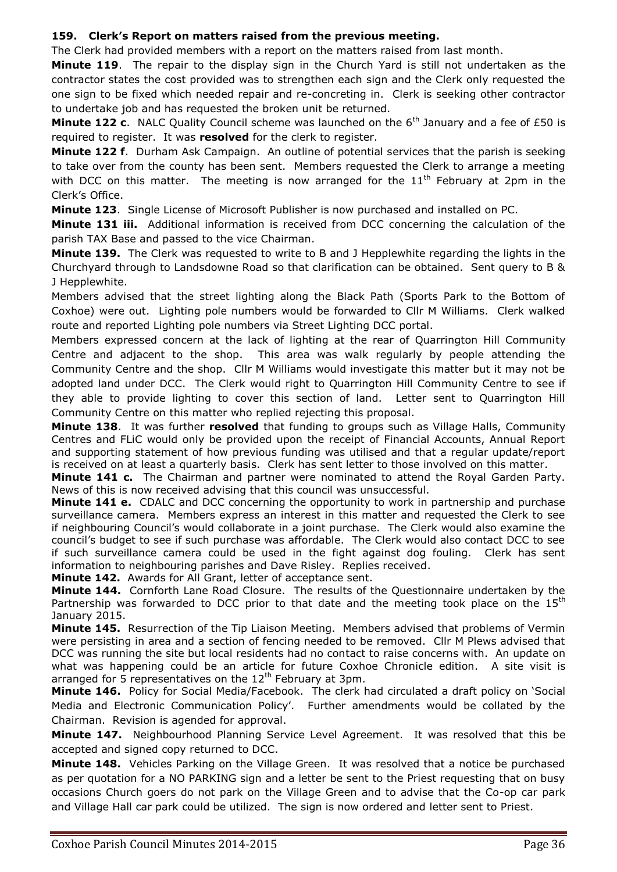## **159. Clerk's Report on matters raised from the previous meeting.**

The Clerk had provided members with a report on the matters raised from last month.

**Minute 119**. The repair to the display sign in the Church Yard is still not undertaken as the contractor states the cost provided was to strengthen each sign and the Clerk only requested the one sign to be fixed which needed repair and re-concreting in. Clerk is seeking other contractor to undertake job and has requested the broken unit be returned.

**Minute 122 c.** NALC Quality Council scheme was launched on the 6<sup>th</sup> January and a fee of £50 is required to register. It was **resolved** for the clerk to register.

**Minute 122 f**. Durham Ask Campaign. An outline of potential services that the parish is seeking to take over from the county has been sent. Members requested the Clerk to arrange a meeting with DCC on this matter. The meeting is now arranged for the  $11<sup>th</sup>$  February at 2pm in the Clerk's Office.

**Minute 123**. Single License of Microsoft Publisher is now purchased and installed on PC.

**Minute 131 iii.** Additional information is received from DCC concerning the calculation of the parish TAX Base and passed to the vice Chairman.

**Minute 139.** The Clerk was requested to write to B and J Hepplewhite regarding the lights in the Churchyard through to Landsdowne Road so that clarification can be obtained. Sent query to B & J Hepplewhite.

Members advised that the street lighting along the Black Path (Sports Park to the Bottom of Coxhoe) were out. Lighting pole numbers would be forwarded to Cllr M Williams. Clerk walked route and reported Lighting pole numbers via Street Lighting DCC portal.

Members expressed concern at the lack of lighting at the rear of Quarrington Hill Community Centre and adjacent to the shop. This area was walk regularly by people attending the Community Centre and the shop. Cllr M Williams would investigate this matter but it may not be adopted land under DCC. The Clerk would right to Quarrington Hill Community Centre to see if they able to provide lighting to cover this section of land. Letter sent to Quarrington Hill Community Centre on this matter who replied rejecting this proposal.

**Minute 138**. It was further **resolved** that funding to groups such as Village Halls, Community Centres and FLiC would only be provided upon the receipt of Financial Accounts, Annual Report and supporting statement of how previous funding was utilised and that a regular update/report is received on at least a quarterly basis. Clerk has sent letter to those involved on this matter.

**Minute 141 c.** The Chairman and partner were nominated to attend the Royal Garden Party. News of this is now received advising that this council was unsuccessful.

**Minute 141 e.** CDALC and DCC concerning the opportunity to work in partnership and purchase surveillance camera. Members express an interest in this matter and requested the Clerk to see if neighbouring Council's would collaborate in a joint purchase. The Clerk would also examine the council's budget to see if such purchase was affordable. The Clerk would also contact DCC to see if such surveillance camera could be used in the fight against dog fouling. Clerk has sent information to neighbouring parishes and Dave Risley. Replies received.

**Minute 142.** Awards for All Grant, letter of acceptance sent.

**Minute 144.** Cornforth Lane Road Closure. The results of the Questionnaire undertaken by the Partnership was forwarded to DCC prior to that date and the meeting took place on the  $15<sup>th</sup>$ January 2015.

**Minute 145.** Resurrection of the Tip Liaison Meeting. Members advised that problems of Vermin were persisting in area and a section of fencing needed to be removed. Cllr M Plews advised that DCC was running the site but local residents had no contact to raise concerns with. An update on what was happening could be an article for future Coxhoe Chronicle edition. A site visit is arranged for 5 representatives on the  $12<sup>th</sup>$  February at 3pm.

**Minute 146.** Policy for Social Media/Facebook. The clerk had circulated a draft policy on 'Social Media and Electronic Communication Policy'. Further amendments would be collated by the Chairman. Revision is agended for approval.

**Minute 147.** Neighbourhood Planning Service Level Agreement. It was resolved that this be accepted and signed copy returned to DCC.

**Minute 148.** Vehicles Parking on the Village Green. It was resolved that a notice be purchased as per quotation for a NO PARKING sign and a letter be sent to the Priest requesting that on busy occasions Church goers do not park on the Village Green and to advise that the Co-op car park and Village Hall car park could be utilized. The sign is now ordered and letter sent to Priest.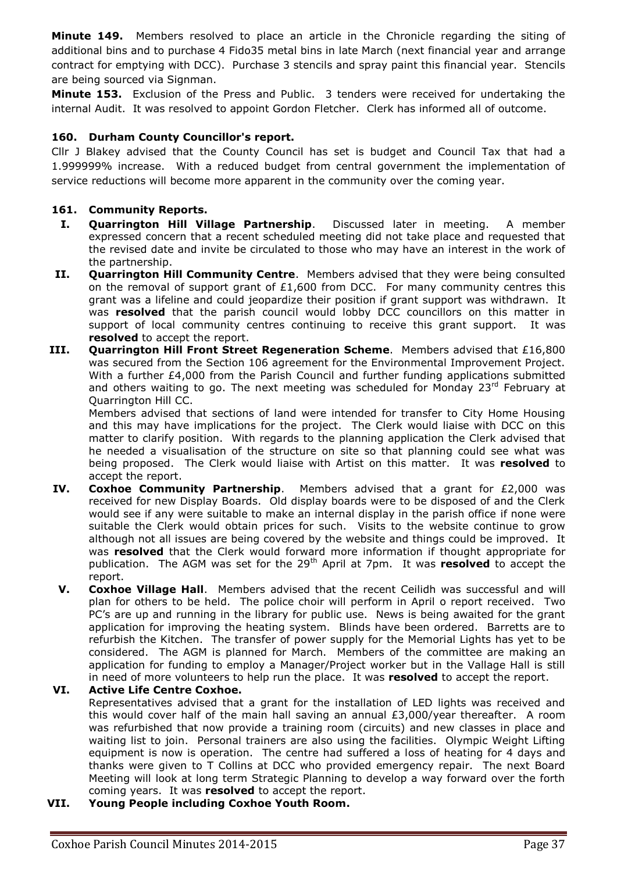**Minute 149.** Members resolved to place an article in the Chronicle regarding the siting of additional bins and to purchase 4 Fido35 metal bins in late March (next financial year and arrange contract for emptying with DCC). Purchase 3 stencils and spray paint this financial year. Stencils are being sourced via Signman.

**Minute 153.** Exclusion of the Press and Public. 3 tenders were received for undertaking the internal Audit. It was resolved to appoint Gordon Fletcher. Clerk has informed all of outcome.

## **160. Durham County Councillor's report.**

Cllr J Blakey advised that the County Council has set is budget and Council Tax that had a 1.999999% increase. With a reduced budget from central government the implementation of service reductions will become more apparent in the community over the coming year.

## **161. Community Reports.**

- **I. Quarrington Hill Village Partnership**. Discussed later in meeting. A member expressed concern that a recent scheduled meeting did not take place and requested that the revised date and invite be circulated to those who may have an interest in the work of the partnership.
- **II. Quarrington Hill Community Centre**. Members advised that they were being consulted on the removal of support grant of  $£1,600$  from DCC. For many community centres this grant was a lifeline and could jeopardize their position if grant support was withdrawn. It was **resolved** that the parish council would lobby DCC councillors on this matter in support of local community centres continuing to receive this grant support. It was **resolved** to accept the report.
- **III. Quarrington Hill Front Street Regeneration Scheme**. Members advised that £16,800 was secured from the Section 106 agreement for the Environmental Improvement Project. With a further £4,000 from the Parish Council and further funding applications submitted and others waiting to go. The next meeting was scheduled for Monday  $23<sup>rd</sup>$  February at Quarrington Hill CC.

Members advised that sections of land were intended for transfer to City Home Housing and this may have implications for the project. The Clerk would liaise with DCC on this matter to clarify position. With regards to the planning application the Clerk advised that he needed a visualisation of the structure on site so that planning could see what was being proposed. The Clerk would liaise with Artist on this matter. It was **resolved** to accept the report.

- **IV. Coxhoe Community Partnership**. Members advised that a grant for £2,000 was received for new Display Boards. Old display boards were to be disposed of and the Clerk would see if any were suitable to make an internal display in the parish office if none were suitable the Clerk would obtain prices for such. Visits to the website continue to grow although not all issues are being covered by the website and things could be improved. It was **resolved** that the Clerk would forward more information if thought appropriate for publication. The AGM was set for the 29<sup>th</sup> April at 7pm. It was **resolved** to accept the report.
- **V. Coxhoe Village Hall**. Members advised that the recent Ceilidh was successful and will plan for others to be held. The police choir will perform in April o report received. Two PC's are up and running in the library for public use. News is being awaited for the grant application for improving the heating system. Blinds have been ordered. Barretts are to refurbish the Kitchen. The transfer of power supply for the Memorial Lights has yet to be considered. The AGM is planned for March. Members of the committee are making an application for funding to employ a Manager/Project worker but in the Vallage Hall is still in need of more volunteers to help run the place. It was **resolved** to accept the report.

**VI. Active Life Centre Coxhoe.** Representatives advised that a grant for the installation of LED lights was received and this would cover half of the main hall saving an annual  $£3,000$ /year thereafter. A room was refurbished that now provide a training room (circuits) and new classes in place and waiting list to join. Personal trainers are also using the facilities. Olympic Weight Lifting equipment is now is operation. The centre had suffered a loss of heating for 4 days and thanks were given to T Collins at DCC who provided emergency repair. The next Board Meeting will look at long term Strategic Planning to develop a way forward over the forth coming years. It was **resolved** to accept the report.

**VII. Young People including Coxhoe Youth Room.**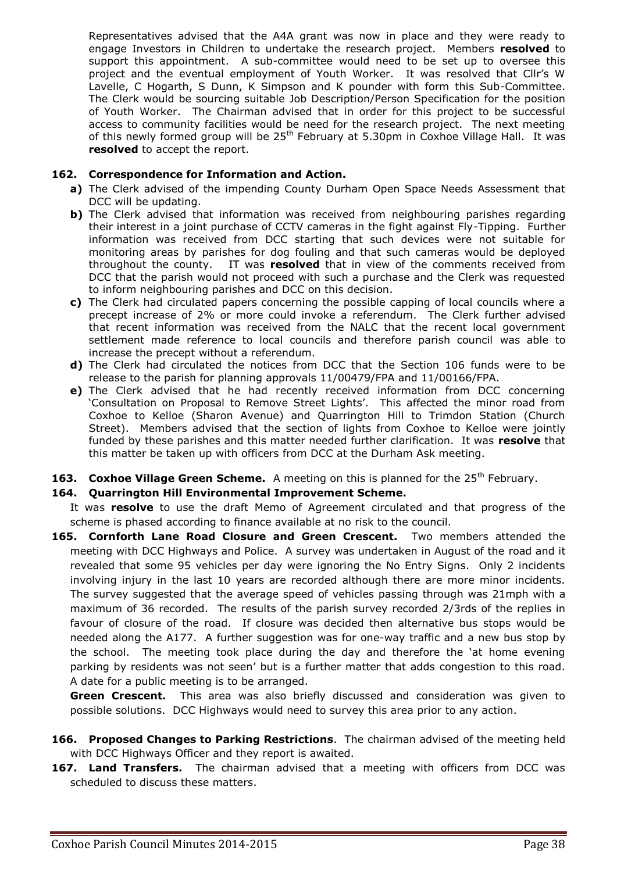Representatives advised that the A4A grant was now in place and they were ready to engage Investors in Children to undertake the research project. Members **resolved** to support this appointment. A sub-committee would need to be set up to oversee this project and the eventual employment of Youth Worker. It was resolved that Cllr's W Lavelle, C Hogarth, S Dunn, K Simpson and K pounder with form this Sub-Committee. The Clerk would be sourcing suitable Job Description/Person Specification for the position of Youth Worker. The Chairman advised that in order for this project to be successful access to community facilities would be need for the research project. The next meeting of this newly formed group will be 25<sup>th</sup> February at 5.30pm in Coxhoe Village Hall. It was **resolved** to accept the report.

### **162. Correspondence for Information and Action.**

- **a)** The Clerk advised of the impending County Durham Open Space Needs Assessment that DCC will be updating.
- **b**) The Clerk advised that information was received from neighbouring parishes regarding their interest in a joint purchase of CCTV cameras in the fight against Fly-Tipping. Further information was received from DCC starting that such devices were not suitable for monitoring areas by parishes for dog fouling and that such cameras would be deployed throughout the county. IT was **resolved** that in view of the comments received from DCC that the parish would not proceed with such a purchase and the Clerk was requested to inform neighbouring parishes and DCC on this decision.
- **c)** The Clerk had circulated papers concerning the possible capping of local councils where a precept increase of 2% or more could invoke a referendum. The Clerk further advised that recent information was received from the NALC that the recent local government settlement made reference to local councils and therefore parish council was able to increase the precept without a referendum.
- **d)** The Clerk had circulated the notices from DCC that the Section 106 funds were to be release to the parish for planning approvals 11/00479/FPA and 11/00166/FPA.
- **e)** The Clerk advised that he had recently received information from DCC concerning 'Consultation on Proposal to Remove Street Lights'. This affected the minor road from Coxhoe to Kelloe (Sharon Avenue) and Quarrington Hill to Trimdon Station (Church Street). Members advised that the section of lights from Coxhoe to Kelloe were jointly funded by these parishes and this matter needed further clarification. It was **resolve** that this matter be taken up with officers from DCC at the Durham Ask meeting.
- **163. Coxhoe Village Green Scheme.** A meeting on this is planned for the 25<sup>th</sup> February.

#### **164. Quarrington Hill Environmental Improvement Scheme.**

It was **resolve** to use the draft Memo of Agreement circulated and that progress of the scheme is phased according to finance available at no risk to the council.

**165. Cornforth Lane Road Closure and Green Crescent.** Two members attended the meeting with DCC Highways and Police. A survey was undertaken in August of the road and it revealed that some 95 vehicles per day were ignoring the No Entry Signs. Only 2 incidents involving injury in the last 10 years are recorded although there are more minor incidents. The survey suggested that the average speed of vehicles passing through was 21mph with a maximum of 36 recorded. The results of the parish survey recorded 2/3rds of the replies in favour of closure of the road. If closure was decided then alternative bus stops would be needed along the A177. A further suggestion was for one-way traffic and a new bus stop by the school. The meeting took place during the day and therefore the 'at home evening parking by residents was not seen' but is a further matter that adds congestion to this road. A date for a public meeting is to be arranged.

**Green Crescent.** This area was also briefly discussed and consideration was given to possible solutions. DCC Highways would need to survey this area prior to any action.

- **166. Proposed Changes to Parking Restrictions**. The chairman advised of the meeting held with DCC Highways Officer and they report is awaited.
- **167. Land Transfers.** The chairman advised that a meeting with officers from DCC was scheduled to discuss these matters.